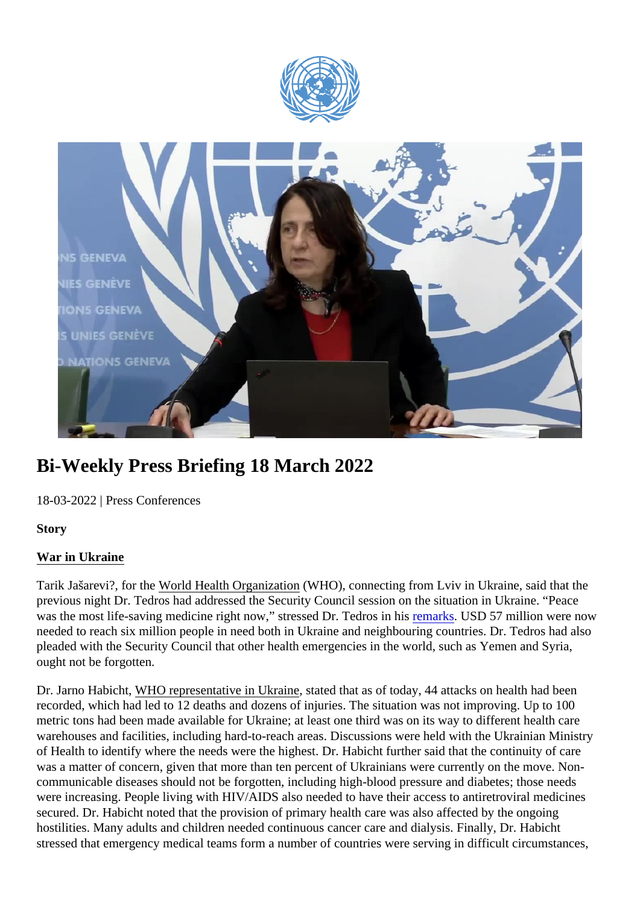# Bi-Weekly Press Briefing 18 March 2022

18-03-2022 | Press Conferences

**Story** 

## War in Ukraine

Tarik Jašarevi?, for the Vorld Health Organizatio (WHO), connecting from Lviv in Ukraine, said that the previous night Dr. Tedros had addressed the Security Council session on the situation in Ukraine. "Peace was the most life-saving medicine right now," stressed Dr. Tedros *in his ks* USD 57 million were now needed to reach six million people in need both in Ukraine and neighbouring countries. Dr. Tedros had also pleaded with the Security Council that other health emergencies in the world, such as Yemen and Syria, ought not be forgotten.

Dr. Jarno Habicht/VHO representative in Ukrainetated that as of today, 44 attacks on health had been recorded, which had led to 12 deaths and dozens of injuries. The situation was not improving. Up to 100 metric tons had been made available for Ukraine; at least one third was on its way to different health care warehouses and facilities, including hard-to-reach areas. Discussions were held with the Ukrainian Ministr of Health to identify where the needs were the highest. Dr. Habicht further said that the continuity of care was a matter of concern, given that more than ten percent of Ukrainians were currently on the move. Noncommunicable diseases should not be forgotten, including high-blood pressure and diabetes; those needs were increasing. People living with HIV/AIDS also needed to have their access to antiretroviral medicines secured. Dr. Habicht noted that the provision of primary health care was also affected by the ongoing hostilities. Many adults and children needed continuous cancer care and dialysis. Finally, Dr. Habicht stressed that emergency medical teams form a number of countries were serving in difficult circumstances,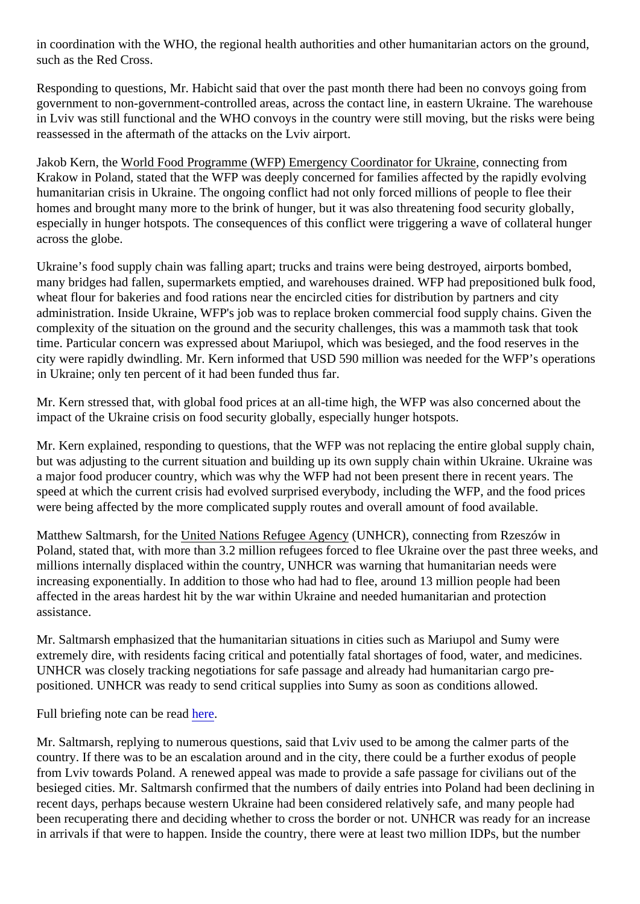in coordination with the WHO, the regional health authorities and other humanitarian actors on the ground, such as the Red Cross.

Responding to questions, Mr. Habicht said that over the past month there had been no convoys going from government to non-government-controlled areas, across the contact line, in eastern Ukraine. The warehous in Lviv was still functional and the WHO convoys in the country were still moving, but the risks were being reassessed in the aftermath of the attacks on the Lviv airport.

Jakob Kern, the World Food Programme (WFP) Emergency Coordinator for Ukraine mecting from Krakow in Poland, stated that the WFP was deeply concerned for families affected by the rapidly evolving humanitarian crisis in Ukraine. The ongoing conflict had not only forced millions of people to flee their homes and brought many more to the brink of hunger, but it was also threatening food security globally, especially in hunger hotspots. The consequences of this conflict were triggering a wave of collateral hunger across the globe.

Ukraine's food supply chain was falling apart; trucks and trains were being destroyed, airports bombed, many bridges had fallen, supermarkets emptied, and warehouses drained. WFP had prepositioned bulk fo wheat flour for bakeries and food rations near the encircled cities for distribution by partners and city administration. Inside Ukraine, WFP's job was to replace broken commercial food supply chains. Given the complexity of the situation on the ground and the security challenges, this was a mammoth task that took time. Particular concern was expressed about Mariupol, which was besieged, and the food reserves in the city were rapidly dwindling. Mr. Kern informed that USD 590 million was needed for the WFP's operations in Ukraine; only ten percent of it had been funded thus far.

Mr. Kern stressed that, with global food prices at an all-time high, the WFP was also concerned about the impact of the Ukraine crisis on food security globally, especially hunger hotspots.

Mr. Kern explained, responding to questions, that the WFP was not replacing the entire global supply chain, but was adjusting to the current situation and building up its own supply chain within Ukraine. Ukraine was a major food producer country, which was why the WFP had not been present there in recent years. The speed at which the current crisis had evolved surprised everybody, including the WFP, and the food prices were being affected by the more complicated supply routes and overall amount of food available.

Matthew Saltmarsh, for the hited Nations Refugee Agenc UNHCR), connecting from Rzeszów in Poland, stated that, with more than 3.2 million refugees forced to flee Ukraine over the past three weeks, and millions internally displaced within the country, UNHCR was warning that humanitarian needs were increasing exponentially. In addition to those who had had to flee, around 13 million people had been affected in the areas hardest hit by the war within Ukraine and needed humanitarian and protection assistance.

Mr. Saltmarsh emphasized that the humanitarian situations in cities such as Mariupol and Sumy were extremely dire, with residents facing critical and potentially fatal shortages of food, water, and medicines. UNHCR was closely tracking negotiations for safe passage and already had humanitarian cargo prepositioned. UNHCR was ready to send critical supplies into Sumy as soon as conditions allowed.

Full briefing note can be readere.

Mr. Saltmarsh, replying to numerous questions, said that Lviv used to be among the calmer parts of the country. If there was to be an escalation around and in the city, there could be a further exodus of people from Lviv towards Poland. A renewed appeal was made to provide a safe passage for civilians out of the besieged cities. Mr. Saltmarsh confirmed that the numbers of daily entries into Poland had been declining recent days, perhaps because western Ukraine had been considered relatively safe, and many people had been recuperating there and deciding whether to cross the border or not. UNHCR was ready for an increa in arrivals if that were to happen. Inside the country, there were at least two million IDPs, but the number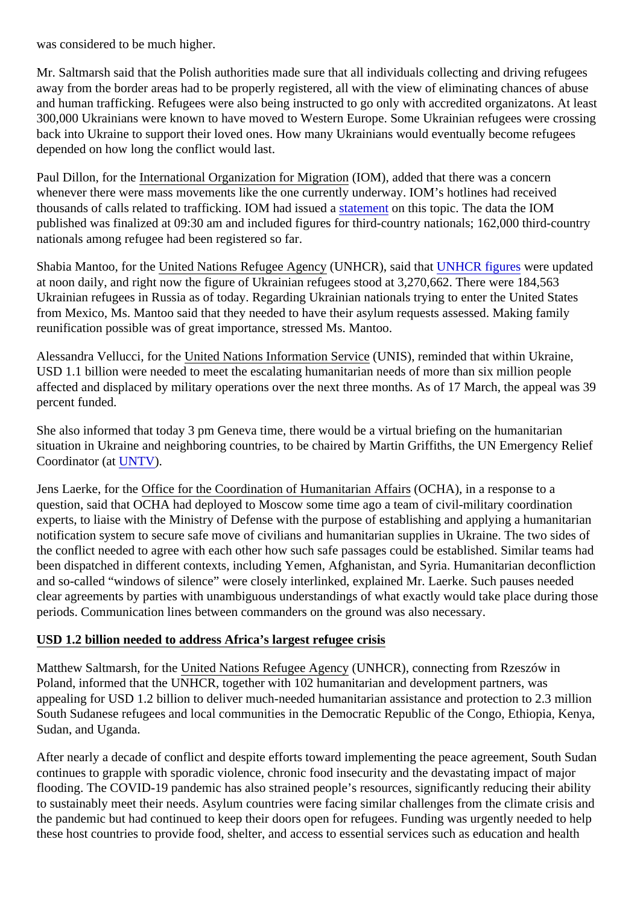was considered to be much higher.

Mr. Saltmarsh said that the Polish authorities made sure that all individuals collecting and driving refugees away from the border areas had to be properly registered, all with the view of eliminating chances of abuse and human trafficking. Refugees were also being instructed to go only with accredited organizatons. At least 300,000 Ukrainians were known to have moved to Western Europe. Some Ukrainian refugees were cross back into Ukraine to support their loved ones. How many Ukrainians would eventually become refugees depended on how long the conflict would last.

Paul Dillon, for the International Organization for Migration (IOM), added that there was a concern whenever there were mass movements like the one currently underway. IOM's hotlines had received thousandsof calls related to trafficking. IOM had issueth a statement on this topic. The data the IOM published was finalized at 09:30 am and included figures for third-country nationals; 162,000 third-country nationals among refugee had been registered so far.

Shabia Mantoo, for the Inited Nations Refugee Agency NHCR), said thau NHCR figures were updated at noon daily, and right now the figure of Ukrainian refugees stood at 3,270,662. There were 184,563 Ukrainian refugees in Russia as of today. Regarding Ukrainian nationals trying to enter the United States from Mexico, Ms. Mantoo said that they needed to have their asylum requests assessed. Making family reunification possible was of great importance, stressed Ms. Mantoo.

Alessandra Vellucci, for the Dited Nations Information Service NIS), reminded that within Ukraine, USD 1.1 billion were needed to meet the escalating humanitarian needs of more than six million people affected and displaced by military operations over the next three months. As of 17 March, the appeal was percent funded.

She also informed that today 3 pm Geneva time, there would be a virtual briefing on the humanitarian situation in Ukraine and neighboring countries, to be chaired by Martin Griffiths, the UN Emergency Relief Coordinator (aUNTV).

Jens Laerke, for the ffice for the Coordination of Humanitarian Affain SCHA), in a response to a question, said that OCHA had deployed to Moscow some time ago a team of civil-military coordination experts, to liaise with the Ministry of Defense with the purpose of establishing and applying a humanitarian notification system to secure safe move of civilians and humanitarian supplies in Ukraine. The two sides o the conflict needed to agree with each other how such safe passages could be established. Similar teams been dispatched in different contexts, including Yemen, Afghanistan, and Syria. Humanitarian deconflictio and so-called "windows of silence" were closely interlinked, explained Mr. Laerke. Such pauses needed clear agreements by parties with unambiguous understandings of what exactly would take place during the periods. Communication lines between commanders on the ground was also necessary.

## USD 1.2 billion needed to address Africa's largest refugee crisis

Matthew Saltmarsh, for the nited Nations Refugee Agen(WNHCR), connecting from Rzeszów in Poland, informed that the UNHCR, together with 102 humanitarian and development partners, was appealing for USD 1.2 billion to deliver much-needed humanitarian assistance and protection to 2.3 million South Sudanese refugees and local communities in the Democratic Republic of the Congo, Ethiopia, Keny Sudan, and Uganda.

After nearly a decade of conflict and despite efforts toward implementing the peace agreement, South Sud continues to grapple with sporadic violence, chronic food insecurity and the devastating impact of major flooding. The COVID-19 pandemic has also strained people's resources, significantly reducing their ability to sustainably meet their needs. Asylum countries were facing similar challenges from the climate crisis are the pandemic but had continued to keep their doors open for refugees. Funding was urgently needed to he these host countries to provide food, shelter, and access to essential services such as education and heal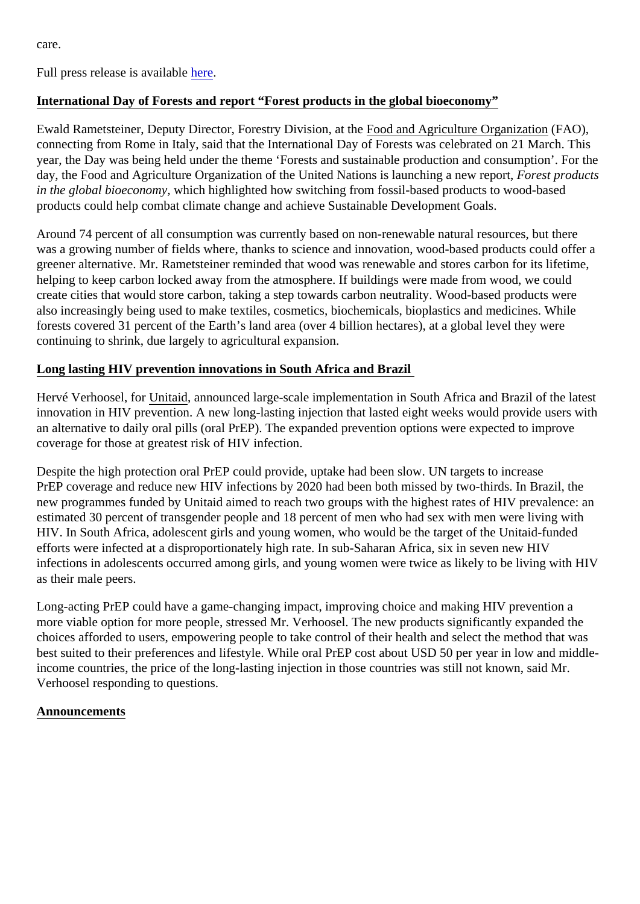care.

Full press release is availablere.

## International Day of Forests and report "Forest products in the global bioeconomy"

Ewald Rametsteiner, Deputy Director, Forestry Division, arthod and Agriculture Organization FAO), connecting from Rome in Italy, said that the International Day of Forests was celebrated on 21 March. This year, the Day was being held under the theme 'Forests and sustainable production and consumption'. For day, the Food and Agriculture Organization of the United Nations is launching a new Frepest, products in the global bioeconomy, hich highlighted how switching from fossil-based products to wood-based products could help combat climate change and achieve Sustainable Development Goals.

Around 74 percent of all consumption was currently based on non-renewable natural resources, but there was a growing number of fields where, thanks to science and innovation, wood-based products could offer greener alternative. Mr. Rametsteiner reminded that wood was renewable and stores carbon for its lifetime, helping to keep carbon locked away from the atmosphere. If buildings were made from wood, we could create cities that would store carbon, taking a step towards carbon neutrality. Wood-based products were also increasingly being used to make textiles, cosmetics, biochemicals, bioplastics and medicines. While forests covered 31 percent of the Earth's land area (over 4 billion hectares), at a global level they were continuing to shrink, due largely to agricultural expansion.

## Long lasting HIV prevention innovations in South Africa and Brazil

Hervé Verhoosel, for Unitaid, announced large-scale implementation in South Africa and Brazil of the latest innovation in HIV prevention. A new long-lasting injection that lasted eight weeks would provide users with an alternative to daily oral pills (oral PrEP). The expanded prevention options were expected to improve coverage for those at greatest risk of HIV infection.

Despite the high protection oral PrEP could provide, uptake had been slow. UN targets to increase PrEP coverage and reduce new HIV infections by 2020 had been both missed by two-thirds. In Brazil, the new programmes funded by Unitaid aimed to reach two groups with the highest rates of HIV prevalence: and estimated 30 percent of transgender people and 18 percent of men who had sex with men were living with HIV. In South Africa, adolescent girls and young women, who would be the target of the Unitaid-funded efforts were infected at a disproportionately high rate. In sub-Saharan Africa, six in seven new HIV infections in adolescents occurred among girls, and young women were twice as likely to be living with HIV as their male peers.

Long-acting PrEP could have a game-changing impact, improving choice and making HIV prevention a more viable option for more people, stressed Mr. Verhoosel. The new products significantly expanded the choices afforded to users, empowering people to take control of their health and select the method that was best suited to their preferences and lifestyle. While oral PrEP cost about USD 50 per year in low and midd income countries, the price of the long-lasting injection in those countries was still not known, said Mr. Verhoosel responding to questions.

## Announcements